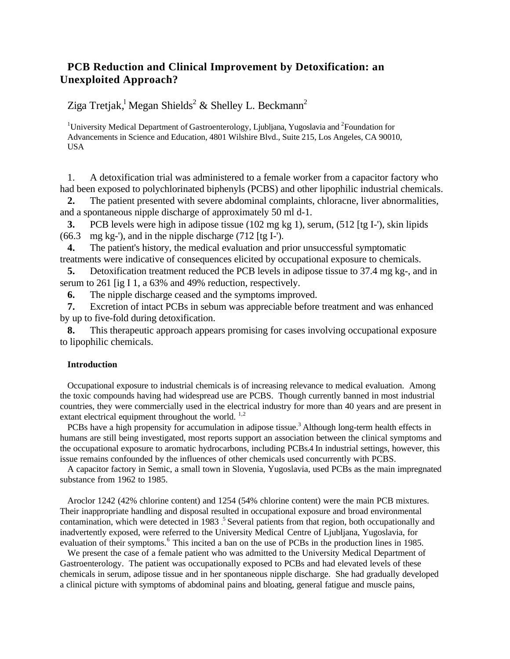# **PCB Reduction and Clinical Improvement by Detoxification: an Unexploited Approach?**

Ziga Tretjak, $^{\rm l}$  Megan Shields $^{\rm 2}$  & Shelley L. Beckmann $^{\rm 2}$ 

<sup>1</sup>University Medical Department of Gastroenterology, Ljubljana, Yugoslavia and <sup>2</sup>Foundation for Advancements in Science and Education, 4801 Wilshire Blvd., Suite 215, Los Angeles, CA 90010, USA

1. A detoxification trial was administered to a female worker from a capacitor factory who had been exposed to polychlorinated biphenyls (PCBS) and other lipophilic industrial chemicals.

**2.** The patient presented with severe abdominal complaints, chloracne, liver abnormalities, and a spontaneous nipple discharge of approximately 50 ml d-1.

**3.** PCB levels were high in adipose tissue (102 mg kg 1), serum, (512 [tg I-'), skin lipids (66.3 mg kg-'), and in the nipple discharge (712 [tg I-').

**4.** The patient's history, the medical evaluation and prior unsuccessful symptomatic treatments were indicative of consequences elicited by occupational exposure to chemicals.

**5.** Detoxification treatment reduced the PCB levels in adipose tissue to 37.4 mg kg-, and in serum to 261 [ig I 1, a 63% and 49% reduction, respectively.

**6.** The nipple discharge ceased and the symptoms improved.

**7.** Excretion of intact PCBs in sebum was appreciable before treatment and was enhanced by up to five-fold during detoxification.

**8.** This therapeutic approach appears promising for cases involving occupational exposure to lipophilic chemicals.

# **Introduction**

Occupational exposure to industrial chemicals is of increasing relevance to medical evaluation. Among the toxic compounds having had widespread use are PCBS. Though currently banned in most industrial countries, they were commercially used in the electrical industry for more than 40 years and are present in extant electrical equipment throughout the world.  $1,2$ 

PCBs have a high propensity for accumulation in adipose tissue.<sup>3</sup> Although long-term health effects in humans are still being investigated, most reports support an association between the clinical symptoms and the occupational exposure to aromatic hydrocarbons, including PCBs**.**4 In industrial settings, however, this issue remains confounded by the influences of other chemicals used concurrently with PCBS.

A capacitor factory in Semic, a small town in Slovenia, Yugoslavia, used PCBs as the main impregnated substance from 1962 to 1985.

Aroclor 1242 (42% chlorine content) and 1254 (54% chlorine content) were the main PCB mixtures. Their inappropriate handling and disposal resulted in occupational exposure and broad environmental contamination, which were detected in 1983 .<sup>5</sup> Several patients from that region, both occupationally and inadvertently exposed, were referred to the University Medical Centre of Ljubljana, Yugoslavia, for evaluation of their symptoms.<sup>6</sup> This incited a ban on the use of PCBs in the production lines in 1985.

We present the case of a female patient who was admitted to the University Medical Department of Gastroenterology. The patient was occupationally exposed to PCBs and had elevated levels of these chemicals in serum, adipose tissue and in her spontaneous nipple discharge. She had gradually developed a clinical picture with symptoms of abdominal pains and bloating, general fatigue and muscle pains,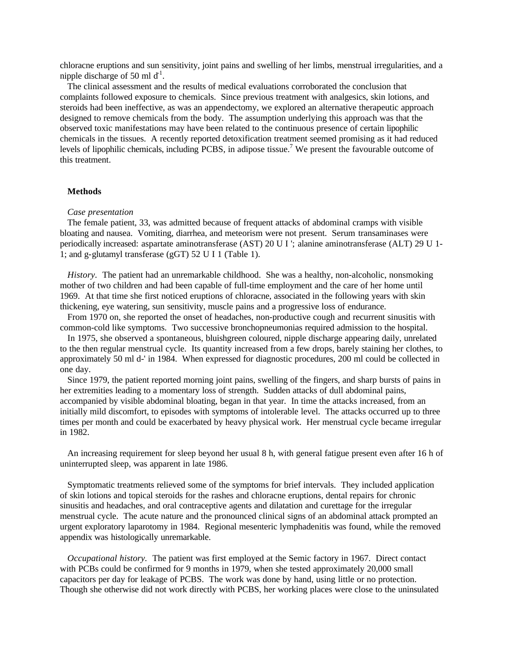chloracne eruptions and sun sensitivity, joint pains and swelling of her limbs, menstrual irregularities, and a nipple discharge of 50 ml  $d^1$ .

The clinical assessment and the results of medical evaluations corroborated the conclusion that complaints followed exposure to chemicals. Since previous treatment with analgesics, skin lotions, and steroids had been ineffective, as was an appendectomy, we explored an alternative therapeutic approach designed to remove chemicals from the body. The assumption underlying this approach was that the observed toxic manifestations may have been related to the continuous presence of certain lipophilic chemicals in the tissues. A recently reported detoxification treatment seemed promising as it had reduced levels of lipophilic chemicals, including PCBS, in adipose tissue.<sup>7</sup> We present the favourable outcome of this treatment.

### **Methods**

#### *Case presentation*

The female patient, 33, was admitted because of frequent attacks of abdominal cramps with visible bloating and nausea. Vomiting, diarrhea, and meteorism were not present. Serum transaminases were periodically increased: aspartate aminotransferase (AST) 20 U I '; alanine aminotransferase (ALT) 29 U 1- 1; and g-glutamyl transferase (gGT) 52 U I 1 (Table 1).

*History*. The patient had an unremarkable childhood. She was a healthy, non-alcoholic, nonsmoking mother of two children and had been capable of full-time employment and the care of her home until 1969. At that time she first noticed eruptions of chloracne, associated in the following years with skin thickening, eye watering, sun sensitivity, muscle pains and a progressive loss of endurance.

From 1970 on, she reported the onset of headaches, non-productive cough and recurrent sinusitis with common-cold like symptoms. Two successive bronchopneumonias required admission to the hospital.

In 1975, she observed a spontaneous, bluishgreen coloured, nipple discharge appearing daily, unrelated to the then regular menstrual cycle. Its quantity increased from a few drops, barely staining her clothes, to approximately 50 ml d-' in 1984. When expressed for diagnostic procedures, 200 ml could be collected in one day.

Since 1979, the patient reported morning joint pains, swelling of the fingers, and sharp bursts of pains in her extremities leading to a momentary loss of strength. Sudden attacks of dull abdominal pains, accompanied by visible abdominal bloating, began in that year. In time the attacks increased, from an initially mild discomfort, to episodes with symptoms of intolerable level. The attacks occurred up to three times per month and could be exacerbated by heavy physical work. Her menstrual cycle became irregular in 1982.

An increasing requirement for sleep beyond her usual 8 h, with general fatigue present even after 16 h of uninterrupted sleep, was apparent in late 1986.

Symptomatic treatments relieved some of the symptoms for brief intervals. They included application of skin lotions and topical steroids for the rashes and chloracne eruptions, dental repairs for chronic sinusitis and headaches, and oral contraceptive agents and dilatation and curettage for the irregular menstrual cycle. The acute nature and the pronounced clinical signs of an abdominal attack prompted an urgent exploratory laparotomy in 1984. Regional mesenteric lymphadenitis was found, while the removed appendix was histologically unremarkable.

*Occupational history.* The patient was first employed at the Semic factory in 1967. Direct contact with PCBs could be confirmed for 9 months in 1979, when she tested approximately 20,000 small capacitors per day for leakage of PCBS. The work was done by hand, using little or no protection. Though she otherwise did not work directly with PCBS, her working places were close to the uninsulated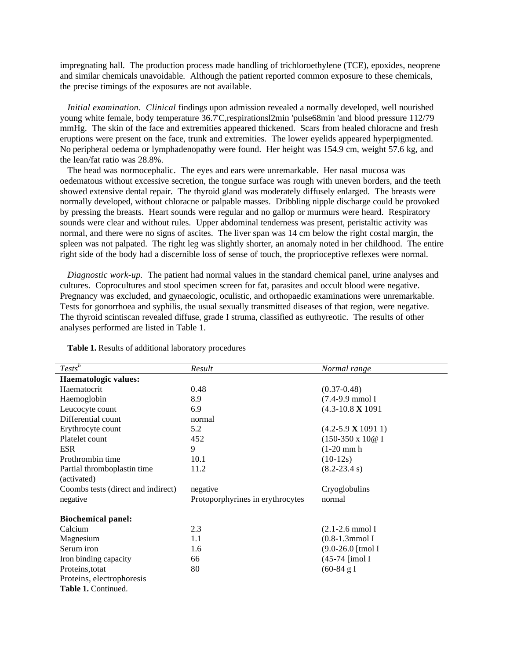impregnating hall. The production process made handling of trichloroethylene (TCE), epoxides, neoprene and similar chemicals unavoidable. Although the patient reported common exposure to these chemicals, the precise timings of the exposures are not available.

*Initial examination. Clinical* findings upon admission revealed a normally developed, well nourished young white female, body temperature 36.7'C,respirationsl2min 'pulse68min 'and blood pressure 112/79 mmHg. The skin of the face and extremities appeared thickened. Scars from healed chloracne and fresh eruptions were present on the face, trunk and extremities. The lower eyelids appeared hyperpigmented. No peripheral oedema or lymphadenopathy were found. Her height was 154.9 cm, weight 57.6 kg, and the lean/fat ratio was 28.8%.

The head was normocephalic. The eyes and ears were unremarkable. Her nasal mucosa was oedematous without excessive secretion, the tongue surface was rough with uneven borders, and the teeth showed extensive dental repair. The thyroid gland was moderately diffusely enlarged. The breasts were normally developed, without chloracne or palpable masses. Dribbling nipple discharge could be provoked by pressing the breasts. Heart sounds were regular and no gallop or murmurs were heard. Respiratory sounds were clear and without rules. Upper abdominal tenderness was present, peristaltic activity was normal, and there were no signs of ascites. The liver span was 14 cm below the right costal margin, the spleen was not palpated. The right leg was slightly shorter, an anomaly noted in her childhood. The entire right side of the body had a discernible loss of sense of touch, the proprioceptive reflexes were normal.

*Diagnostic work-up.* The patient had normal values in the standard chemical panel, urine analyses and cultures. Coprocultures and stool specimen screen for fat, parasites and occult blood were negative. Pregnancy was excluded, and gynaecologic, oculistic, and orthopaedic examinations were unremarkable. Tests for gonorrhoea and syphilis, the usual sexually transmitted diseases of that region, were negative. The thyroid scintiscan revealed diffuse, grade I struma, classified as euthyreotic. The results of other analyses performed are listed in Table 1.

| $Tests^b$                          | Result                           | Normal range                    |
|------------------------------------|----------------------------------|---------------------------------|
| <b>Haematologic values:</b>        |                                  |                                 |
| Haematocrit                        | 0.48                             | $(0.37 - 0.48)$                 |
| Haemoglobin                        | 8.9                              | $(7.4-9.9 \text{ mmol I})$      |
| Leucocyte count                    | 6.9                              | $(4.3 - 10.8 \times 1091)$      |
|                                    |                                  |                                 |
| Differential count                 | normal                           |                                 |
| Erythrocyte count                  | 5.2                              | $(4.2 - 5.9 \mathbf{X} 1091 1)$ |
| Platelet count                     | 452                              | $(150-350 \times 100$ I         |
| <b>ESR</b>                         | 9                                | $(1-20$ mm h                    |
| Prothrombin time                   | 10.1                             | $(10-12s)$                      |
| Partial thromboplastin time        | 11.2                             | $(8.2 - 23.4 s)$                |
| (activated)                        |                                  |                                 |
| Coombs tests (direct and indirect) | negative                         | Cryoglobulins                   |
| negative                           | Protoporphyrines in erythrocytes | normal                          |
| <b>Biochemical panel:</b>          |                                  |                                 |
| Calcium                            | 2.3                              | $(2.1 - 2.6$ mmol I             |
| Magnesium                          | 1.1                              | $(0.8-1.3$ mmol I               |
| Serum iron                         | 1.6                              | $(9.0-26.0 \text{ [tmol I}$     |
| Iron binding capacity              | 66                               | (45-74 [imol I                  |
| Proteins, totat                    | 80                               | $(60-84 \text{ g I})$           |
| Proteins, electrophoresis          |                                  |                                 |
| Table 1. Continued.                |                                  |                                 |

**Table 1.** Results of additional laboratory procedures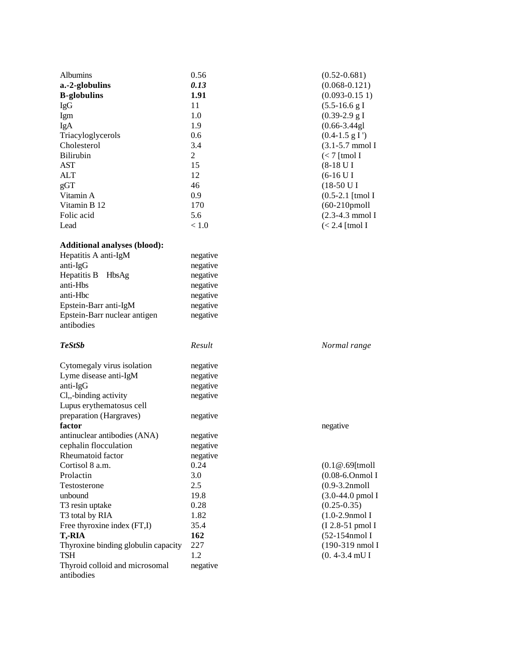| Albumins<br>a.-2-globulins<br><b>B-globulins</b><br>IgG<br>Igm<br>IgA<br>Triacyloglycerols<br>Cholesterol<br>Bilirubin<br><b>AST</b><br><b>ALT</b><br>gGT<br>Vitamin A<br>Vitamin B 12<br>Folic acid<br>Lead | 0.56<br>0.13<br>1.91<br>11<br>1.0<br>1.9<br>0.6<br>3.4<br>$\overline{2}$<br>15<br>12<br>46<br>0.9<br>170<br>5.6<br>< 1.0 | $(0.52 - 0.681)$<br>$(0.068 - 0.121)$<br>$(0.093 - 0.151)$<br>$(5.5-16.6 g I$<br>$(0.39-2.9 g I$<br>$(0.66 - 3.44g1)$<br>$(0.4-1.5 g I')$<br>$(3.1 - 5.7$ mmol I<br>$\left( < 7 \right[$ tmol I<br>$(8-18 \text{ U I})$<br>$(6-16$ U I<br>$(18-50$ U I<br>$(0.5-2.1 \text{ [tmol I}$<br>$(60-210$ pmoll<br>$(2.3-4.3 \text{ mmol I})$<br>$(< 2.4$ [tmol I |
|--------------------------------------------------------------------------------------------------------------------------------------------------------------------------------------------------------------|--------------------------------------------------------------------------------------------------------------------------|-----------------------------------------------------------------------------------------------------------------------------------------------------------------------------------------------------------------------------------------------------------------------------------------------------------------------------------------------------------|
| <b>Additional analyses (blood):</b>                                                                                                                                                                          |                                                                                                                          |                                                                                                                                                                                                                                                                                                                                                           |
| Hepatitis A anti-IgM                                                                                                                                                                                         | negative                                                                                                                 |                                                                                                                                                                                                                                                                                                                                                           |
| anti-IgG                                                                                                                                                                                                     | negative                                                                                                                 |                                                                                                                                                                                                                                                                                                                                                           |
| Hepatitis B<br>HbsAg                                                                                                                                                                                         | negative                                                                                                                 |                                                                                                                                                                                                                                                                                                                                                           |
| anti-Hbs                                                                                                                                                                                                     | negative                                                                                                                 |                                                                                                                                                                                                                                                                                                                                                           |
| anti-Hbc                                                                                                                                                                                                     | negative                                                                                                                 |                                                                                                                                                                                                                                                                                                                                                           |
| Epstein-Barr anti-IgM                                                                                                                                                                                        | negative                                                                                                                 |                                                                                                                                                                                                                                                                                                                                                           |
| Epstein-Barr nuclear antigen<br>antibodies                                                                                                                                                                   | negative                                                                                                                 |                                                                                                                                                                                                                                                                                                                                                           |
| <b>TeStSb</b>                                                                                                                                                                                                | Result                                                                                                                   | Normal range                                                                                                                                                                                                                                                                                                                                              |
| Cytomegaly virus isolation                                                                                                                                                                                   | negative                                                                                                                 |                                                                                                                                                                                                                                                                                                                                                           |
| Lyme disease anti-IgM                                                                                                                                                                                        | negative                                                                                                                 |                                                                                                                                                                                                                                                                                                                                                           |
| anti-IgG                                                                                                                                                                                                     | negative                                                                                                                 |                                                                                                                                                                                                                                                                                                                                                           |
| Cl,,-binding activity                                                                                                                                                                                        | negative                                                                                                                 |                                                                                                                                                                                                                                                                                                                                                           |
| Lupus erythematosus cell                                                                                                                                                                                     |                                                                                                                          |                                                                                                                                                                                                                                                                                                                                                           |
| preparation (Hargraves)                                                                                                                                                                                      | negative                                                                                                                 |                                                                                                                                                                                                                                                                                                                                                           |
| factor                                                                                                                                                                                                       |                                                                                                                          | negative                                                                                                                                                                                                                                                                                                                                                  |
| antinuclear antibodies (ANA)                                                                                                                                                                                 | negative                                                                                                                 |                                                                                                                                                                                                                                                                                                                                                           |
| cephalin flocculation                                                                                                                                                                                        | negative                                                                                                                 |                                                                                                                                                                                                                                                                                                                                                           |
| Rheumatoid factor                                                                                                                                                                                            | negative                                                                                                                 |                                                                                                                                                                                                                                                                                                                                                           |
| Cortisol 8 a.m.                                                                                                                                                                                              | 0.24                                                                                                                     | $(0.1@.69[$ tmoll                                                                                                                                                                                                                                                                                                                                         |
| Prolactin                                                                                                                                                                                                    | 3.0                                                                                                                      | $(0.08-6.0$ nmol I                                                                                                                                                                                                                                                                                                                                        |
| Testosterone                                                                                                                                                                                                 | 2.5                                                                                                                      | $(0.9-3.2nmoll$                                                                                                                                                                                                                                                                                                                                           |
| unbound                                                                                                                                                                                                      | 19.8                                                                                                                     | $(3.0-44.0 \text{ pmol}$ I                                                                                                                                                                                                                                                                                                                                |
| T3 resin uptake                                                                                                                                                                                              | 0.28                                                                                                                     | $(0.25 - 0.35)$                                                                                                                                                                                                                                                                                                                                           |
| T3 total by RIA                                                                                                                                                                                              | 1.82                                                                                                                     | $(1.0-2.9$ nmol I                                                                                                                                                                                                                                                                                                                                         |
| Free thyroxine index (FT,I)                                                                                                                                                                                  | 35.4                                                                                                                     | (I 2.8-51 pmol I                                                                                                                                                                                                                                                                                                                                          |
| T,-RIA                                                                                                                                                                                                       | 162                                                                                                                      | (52-154nmol I                                                                                                                                                                                                                                                                                                                                             |
| Thyroxine binding globulin capacity                                                                                                                                                                          | 227                                                                                                                      | (190-319 nmol I                                                                                                                                                                                                                                                                                                                                           |
| <b>TSH</b>                                                                                                                                                                                                   | 1.2                                                                                                                      | $(0.4 - 3.4$ mU I                                                                                                                                                                                                                                                                                                                                         |
| Thyroid colloid and microsomal<br>antibodies                                                                                                                                                                 | negative                                                                                                                 |                                                                                                                                                                                                                                                                                                                                                           |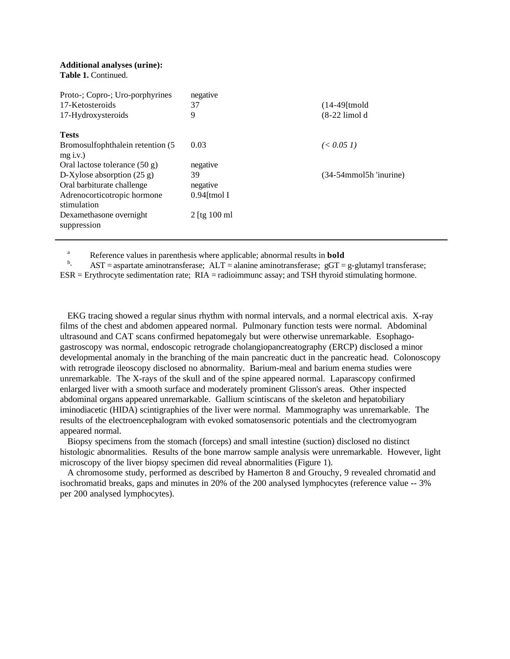#### **Additional analyses (urine): Table 1.** Continued.

| Proto-; Copro-; Uro-porphyrines                 | negative         |                           |
|-------------------------------------------------|------------------|---------------------------|
| 17-Ketosteroids                                 | 37               | $(14-49$ [tmold]          |
| 17-Hydroxysteroids                              | 9                | $(8-22$ limold            |
| <b>Tests</b>                                    |                  |                           |
| Bromosulfophthalein retention (5)<br>$mg$ i.v.) | 0.03             | $(0.051)$                 |
| Oral lactose tolerance $(50 g)$                 | negative         |                           |
| D-Xylose absorption $(25 g)$                    | 39               | $(34-54$ mmol5h 'inurine) |
| Oral barbiturate challenge                      | negative         |                           |
| Adrenocorticotropic hormone<br>stimulation      | $0.94$ [tmol I   |                           |
| Dexamethasone overnight<br>suppression          | $2$ [tg $100$ ml |                           |
|                                                 |                  |                           |

<sup>a</sup> Reference values in parenthesis where applicable; abnormal results in **bold** 

 $\mathbf{b}$ .  $\text{AST}$  = aspartate aminotransferase;  $\text{ALT}$  = alanine aminotransferase;  $\text{gGT}$  = g-glutamyl transferase; ESR = Erythrocyte sedimentation rate; RIA = radioimmunc assay; and TSH thyroid stimulating hormone.

EKG tracing showed a regular sinus rhythm with normal intervals, and a normal electrical axis. X-ray films of the chest and abdomen appeared normal. Pulmonary function tests were normal. Abdominal ultrasound and CAT scans confirmed hepatomegaly but were otherwise unremarkable. Esophagogastroscopy was normal, endoscopic retrograde cholangiopancreatography (ERCP) disclosed a minor developmental anomaly in the branching of the main pancreatic duct in the pancreatic head. Colonoscopy with retrograde ileoscopy disclosed no abnormality. Barium-meal and barium enema studies were unremarkable. The X-rays of the skull and of the spine appeared normal. Laparascopy confirmed enlarged liver with a smooth surface and moderately prominent Glisson's areas. Other inspected abdominal organs appeared unremarkable. Gallium scintiscans of the skeleton and hepatobiliary iminodiacetic (HIDA) scintigraphies of the liver were normal. Mammography was unremarkable. The results of the electroencephalogram with evoked somatosensoric potentials and the clectromyogram appeared normal.

Biopsy specimens from the stomach (forceps) and small intestine (suction) disclosed no distinct histologic abnormalities. Results of the bone marrow sample analysis were unremarkable. However, light microscopy of the liver biopsy specimen did reveal abnormalities (Figure 1).

A chromosome study, performed as described by Hamerton 8 and Grouchy, 9 revealed chromatid and isochromatid breaks, gaps and minutes in 20% of the 200 analysed lymphocytes (reference value -- 3% per 200 analysed lymphocytes).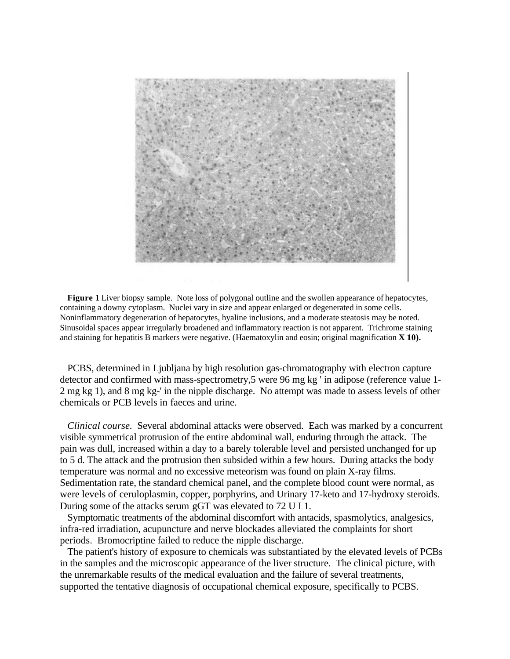

**Figure 1** Liver biopsy sample. Note loss of polygonal outline and the swollen appearance of hepatocytes, containing a downy cytoplasm. Nuclei vary in size and appear enlarged or degenerated in some cells. Noninflammatory degeneration of hepatocytes, hyaline inclusions, and a moderate steatosis may be noted. Sinusoidal spaces appear irregularly broadened and inflammatory reaction is not apparent. Trichrome staining and staining for hepatitis B markers were negative. (Haematoxylin and eosin; original magnification **X 10).**

PCBS, determined in Ljubljana by high resolution gas-chromatography with electron capture detector and confirmed with mass-spectrometry,5 were 96 mg kg ' in adipose (reference value 1- 2 mg kg 1), and 8 mg kg-' in the nipple discharge. No attempt was made to assess levels of other chemicals or PCB levels in faeces and urine.

*Clinical course.* Several abdominal attacks were observed. Each was marked by a concurrent visible symmetrical protrusion of the entire abdominal wall, enduring through the attack. The pain was dull, increased within a day to a barely tolerable level and persisted unchanged for up to 5 d. The attack and the protrusion then subsided within a few hours. During attacks the body temperature was normal and no excessive meteorism was found on plain X-ray films. Sedimentation rate, the standard chemical panel, and the complete blood count were normal, as were levels of ceruloplasmin, copper, porphyrins, and Urinary 17-keto and 17-hydroxy steroids. During some of the attacks serum gGT was elevated to 72 U I 1.

Symptomatic treatments of the abdominal discomfort with antacids, spasmolytics, analgesics, infra-red irradiation, acupuncture and nerve blockades alleviated the complaints for short periods. Bromocriptine failed to reduce the nipple discharge.

The patient's history of exposure to chemicals was substantiated by the elevated levels of PCBs in the samples and the microscopic appearance of the liver structure. The clinical picture, with the unremarkable results of the medical evaluation and the failure of several treatments, supported the tentative diagnosis of occupational chemical exposure, specifically to PCBS.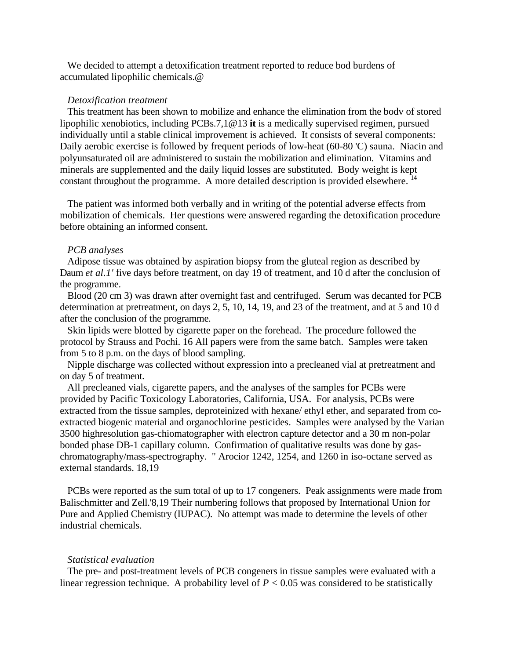We decided to attempt a detoxification treatment reported to reduce bod burdens of accumulated lipophilic chemicals.@

# *Detoxification treatment*

This treatment has been shown to mobilize and enhance the elimination from the bodv of stored lipophilic xenobiotics, including PCBs.7,1@13 **it** is a medically supervised regimen, pursued individually until a stable clinical improvement is achieved. It consists of several components: Daily aerobic exercise is followed by frequent periods of low-heat (60-80 °C) sauna. Niacin and polyunsaturated oil are administered to sustain the mobilization and elimination. Vitamins and minerals are supplemented and the daily liquid losses are substituted. Body weight is kept constant throughout the programme. A more detailed description is provided elsewhere.<sup>14</sup>

The patient was informed both verbally and in writing of the potential adverse effects from mobilization of chemicals. Her questions were answered regarding the detoxification procedure before obtaining an informed consent.

# *PCB analyses*

Adipose tissue was obtained by aspiration biopsy from the gluteal region as described by Daum *et al.1'* five days before treatment, on day 19 of treatment, and 10 d after the conclusion of the programme.

Blood (20 cm 3) was drawn after overnight fast and centrifuged. Serum was decanted for PCB determination at pretreatment, on days 2, 5, 10, 14, 19, and 23 of the treatment, and at 5 and 10 d after the conclusion of the programme.

Skin lipids were blotted by cigarette paper on the forehead. The procedure followed the protocol by Strauss and Pochi. 16 All papers were from the same batch. Samples were taken from 5 to 8 p.m. on the days of blood sampling.

Nipple discharge was collected without expression into a precleaned vial at pretreatment and on day 5 of treatment.

All precleaned vials, cigarette papers, and the analyses of the samples for PCBs were provided by Pacific Toxicology Laboratories, California, USA. For analysis, PCBs were extracted from the tissue samples, deproteinized with hexane/ ethyl ether, and separated from coextracted biogenic material and organochlorine pesticides. Samples were analysed by the Varian 3500 highresolution gas-chiomatographer with electron capture detector and a 30 m non-polar bonded phase DB-1 capillary column. Confirmation of qualitative results was done by gaschromatography/mass-spectrography. " Arocior 1242, 1254, and 1260 in iso-octane served as external standards. 18,19

PCBs were reported as the sum total of up to 17 congeners. Peak assignments were made from Balischmitter and Zell.'8,19 Their numbering follows that proposed by International Union for Pure and Applied Chemistry (IUPAC). No attempt was made to determine the levels of other industrial chemicals.

# *Statistical evaluation*

The pre- and post-treatment levels of PCB congeners in tissue samples were evaluated with a linear regression technique. A probability level of  $P < 0.05$  was considered to be statistically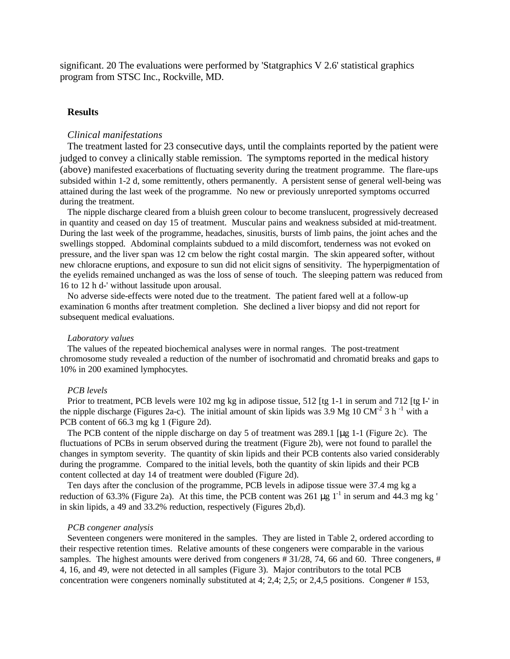significant. 20 The evaluations were performed by 'Statgraphics V 2.6' statistical graphics program from STSC Inc., Rockville, MD.

# **Results**

### *Clinical manifestations*

The treatment lasted for 23 consecutive days, until the complaints reported by the patient were judged to convey a clinically stable remission. The symptoms reported in the medical history (above) manifested exacerbations of fluctuating severity during the treatment programme. The flare-ups subsided within 1-2 d, some remittently, others permanently. A persistent sense of general well-being was attained during the last week of the programme. No new or previously unreported symptoms occurred during the treatment.

The nipple discharge cleared from a bluish green colour to become translucent, progressively decreased in quantity and ceased on day 15 of treatment. Muscular pains and weakness subsided at mid-treatment. During the last week of the programme, headaches, sinusitis, bursts of limb pains, the joint aches and the swellings stopped. Abdominal complaints subdued to a mild discomfort, tenderness was not evoked on pressure, and the liver span was 12 cm below the right costal margin. The skin appeared softer, without new chloracne eruptions, and exposure to sun did not elicit signs of sensitivity. The hyperpigmentation of the eyelids remained unchanged as was the loss of sense of touch. The sleeping pattern was reduced from 16 to 12 h d-' without lassitude upon arousal.

No adverse side-effects were noted due to the treatment. The patient fared well at a follow-up examination 6 months after treatment completion. She declined a liver biopsy and did not report for subsequent medical evaluations.

# *Laboratory values*

The values of the repeated biochemical analyses were in normal ranges. The post-treatment chromosome study revealed a reduction of the number of isochromatid and chromatid breaks and gaps to 10% in 200 examined lymphocytes.

# *PCB levels*

Prior to treatment, PCB levels were 102 mg kg in adipose tissue, 512 [tg 1-1 in serum and 712 [tg I-' in the nipple discharge (Figures 2a-c). The initial amount of skin lipids was  $3.9 \text{ Mg } 10 \text{ CM}^2 3 \text{ h}^{-1}$  with a PCB content of 66.3 mg kg 1 (Figure 2d).

The PCB content of the nipple discharge on day 5 of treatment was 289.1 [μg 1-1 (Figure 2c). The fluctuations of PCBs in serum observed during the treatment (Figure 2b), were not found to parallel the changes in symptom severity. The quantity of skin lipids and their PCB contents also varied considerably during the programme. Compared to the initial levels, both the quantity of skin lipids and their PCB content collected at day 14 of treatment were doubled (Figure 2d).

Ten days after the conclusion of the programme, PCB levels in adipose tissue were 37.4 mg kg a reduction of 63.3% (Figure 2a). At this time, the PCB content was  $261 \text{ µg } 1^{-1}$  in serum and 44.3 mg kg ' in skin lipids, a 49 and 33.2% reduction, respectively (Figures 2b,d).

# *PCB congener analysis*

Seventeen congeners were monitered in the samples. They are listed in Table 2, ordered according to their respective retention times. Relative amounts of these congeners were comparable in the various samples. The highest amounts were derived from congeners # 31/28, 74, 66 and 60. Three congeners, # 4, 16, and 49, were not detected in all samples (Figure 3). Major contributors to the total PCB concentration were congeners nominally substituted at 4; 2,4; 2,5; or 2,4,5 positions. Congener # 153,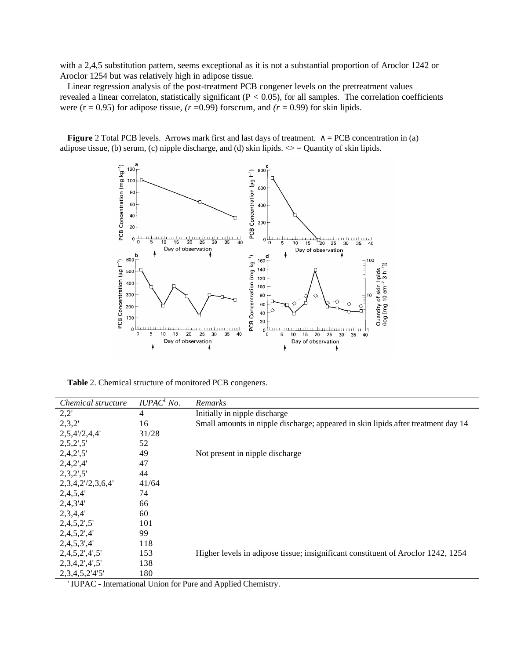with a 2,4,5 substitution pattern, seems exceptional as it is not a substantial proportion of Aroclor 1242 or Aroclor 1254 but was relatively high in adipose tissue.

Linear regression analysis of the post-treatment PCB congener levels on the pretreatment values revealed a linear correlaton, statistically significant ( $P < 0.05$ ), for all samples. The correlation coefficients were  $(r = 0.95)$  for adipose tissue,  $(r = 0.99)$  forscrum, and  $(r = 0.99)$  for skin lipids.

**Figure** 2 Total PCB levels. Arrows mark first and last days of treatment. ∧ = PCB concentration in (a) adipose tissue, (b) serum, (c) nipple discharge, and (d) skin lipids.  $\leq$  = Quantity of skin lipids.



**Table** 2. Chemical structure of monitored PCB congeners.

| Chemical structure            | IUPAC <sup>1</sup> No. | Remarks                                                                           |
|-------------------------------|------------------------|-----------------------------------------------------------------------------------|
| 2,2'                          | 4                      | Initially in nipple discharge                                                     |
| 2,3,2'                        | 16                     | Small amounts in nipple discharge; appeared in skin lipids after treatment day 14 |
| 2,5,4'/2,4,4'                 | 31/28                  |                                                                                   |
| $2,5,2^{\prime},5^{\prime}$   | 52                     |                                                                                   |
| $2,4,2^{\prime},5^{\prime}$   | 49                     | Not present in nipple discharge                                                   |
| 2,4,2',4'                     | 47                     |                                                                                   |
| $2,3,2^{\prime},5^{\prime}$   | 44                     |                                                                                   |
| $2,3,4,2'$ /2,3,6,4'          | 41/64                  |                                                                                   |
| 2,4,5,4'                      | 74                     |                                                                                   |
| 2,4,3'4'                      | 66                     |                                                                                   |
| 2,3,4,4'                      | 60                     |                                                                                   |
| $2,4,5,2^{\prime},5^{\prime}$ | 101                    |                                                                                   |
| 2,4,5,2',4'                   | 99                     |                                                                                   |
| 2,4,5,3',4'                   | 118                    |                                                                                   |
| 2,4,5,2',4',5'                | 153                    | Higher levels in adipose tissue; insignificant constituent of Aroclor 1242, 1254  |
| 2,3,4,2',4',5'                | 138                    |                                                                                   |
| 2, 3, 4, 5, 2'4'5'            | 180                    |                                                                                   |

' IUPAC - International Union for Pure and Applied Chemistry.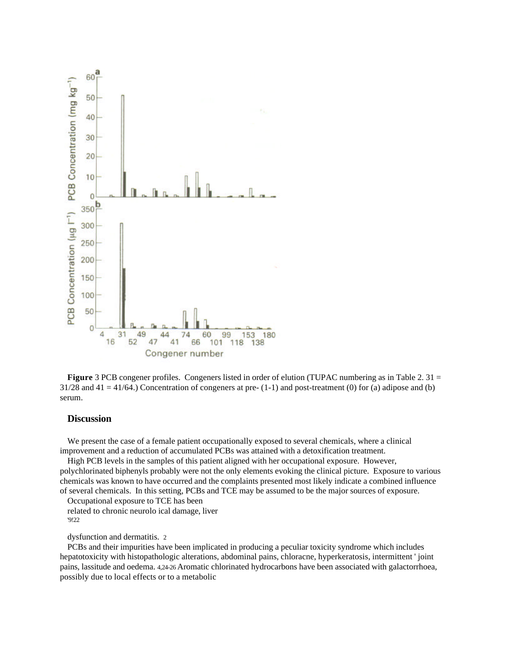



# **Discussion**

We present the case of a female patient occupationally exposed to several chemicals, where a clinical improvement and a reduction of accumulated PCBs was attained with a detoxification treatment.

High PCB levels in the samples of this patient aligned with her occupational exposure. However, polychlorinated biphenyls probably were not the only elements evoking the clinical picture. Exposure to various chemicals was known to have occurred and the complaints presented most likely indicate a combined influence of several chemicals. In this setting, PCBs and TCE may be assumed to be the major sources of exposure.

Occupational exposure to TCE has been related to chronic neurolo ical damage, liver '9!22

dysfunction and dermatitis. 2

PCBs and their impurities have been implicated in producing a peculiar toxicity syndrome which includes hepatotoxicity with histopathologic alterations, abdominal pains, chloracne, hyperkeratosis, intermittent ' joint pains, lassitude and oedema. 4,24-26 Aromatic chlorinated hydrocarbons have been associated with galactorrhoea, possibly due to local effects or to a metabolic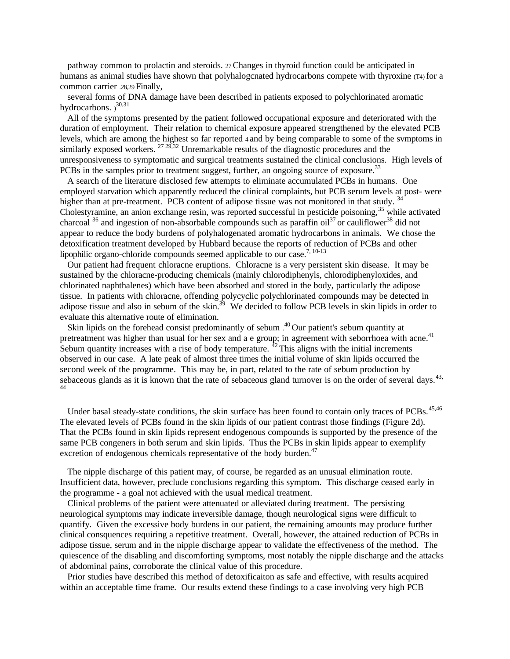pathway common to prolactin and steroids. 27 Changes in thyroid function could be anticipated in humans as animal studies have shown that polyhalogcnated hydrocarbons compete with thyroxine (T4) for a common carrier .28,29 Finally,

several forms of DNA damage have been described in patients exposed to polychlorinated aromatic hydrocarbons.  $3^{0,31}$ 

All of the symptoms presented by the patient followed occupational exposure and deteriorated with the duration of employment. Their relation to chemical exposure appeared strengthened by the elevated PCB levels, which are among the highest so far reported 4 and by being comparable to some of the svmptoms in similarly exposed workers.  $27 29,32$  Unremarkable results of the diagnostic procedures and the unresponsiveness to symptomatic and surgical treatments sustained the clinical conclusions. High levels of PCBs in the samples prior to treatment suggest, further, an ongoing source of exposure.<sup>33</sup>

A search of the literature disclosed few attempts to eliminate accumulated PCBs in humans. One employed starvation which apparently reduced the clinical complaints, but PCB serum levels at post- were higher than at pre-treatment. PCB content of adipose tissue was not monitored in that study. <sup>34</sup> Cholestyramine, an anion exchange resin, was reported successful in pesticide poisoning,<sup>35</sup> while activated charcoal  $36$  and ingestion of non-absorbable compounds such as paraffin oil  $37$  or cauliflower  $38$  did not appear to reduce the body burdens of polyhalogenated aromatic hydrocarbons in animals. We chose the detoxification treatment developed by Hubbard because the reports of reduction of PCBs and other lipophilic organo-chloride compounds seemed applicable to our case.<sup>7, 10-13</sup>

Our patient had frequent chloracne eruptions. Chloracne is a very persistent skin disease. It may be sustained by the chloracne-producing chemicals (mainly chlorodiphenyls, chlorodiphenyloxides, and chlorinated naphthalenes) which have been absorbed and stored in the body, particularly the adipose tissue. In patients with chloracne, offending polycyclic polychlorinated compounds may be detected in adipose tissue and also in sebum of the skin.<sup>39</sup> We decided to follow PCB levels in skin lipids in order to evaluate this alternative route of elimination.

Skin lipids on the forehead consist predominantly of sebum  $.40$  Our patient's sebum quantity at pretreatment was higher than usual for her sex and a e group; in agreement with seborrhoea with acne.<sup>41</sup> Sebum quantity increases with a rise of body temperature.  $^{42}$  This aligns with the initial increments observed in our case. A late peak of almost three times the initial volume of skin lipids occurred the second week of the programme. This may be, in part, related to the rate of sebum production by sebaceous glands as it is known that the rate of sebaceous gland turnover is on the order of several days.<sup>43,</sup> 44

Under basal steady-state conditions, the skin surface has been found to contain only traces of PCBs.<sup>45,46</sup> The elevated levels of PCBs found in the skin lipids of our patient contrast those findings (Figure 2d). That the PCBs found in skin lipids represent endogenous compounds is supported by the presence of the same PCB congeners in both serum and skin lipids. Thus the PCBs in skin lipids appear to exemplify excretion of endogenous chemicals representative of the body burden.<sup>47</sup>

The nipple discharge of this patient may, of course, be regarded as an unusual elimination route. Insufficient data, however, preclude conclusions regarding this symptom. This discharge ceased early in the programme - a goal not achieved with the usual medical treatment.

Clinical problems of the patient were attenuated or alleviated during treatment. The persisting neurological symptoms may indicate irreversible damage, though neurological signs were difficult to quantify. Given the excessive body burdens in our patient, the remaining amounts may produce further clinical consquences requiring a repetitive treatment. Overall, however, the attained reduction of PCBs in adipose tissue, serum and in the nipple discharge appear to validate the effectiveness of the method. The quiescence of the disabling and discomforting symptoms, most notably the nipple discharge and the attacks of abdominal pains, corroborate the clinical value of this procedure.

Prior studies have described this method of detoxificaiton as safe and effective, with results acquired within an acceptable time frame. Our results extend these findings to a case involving very high PCB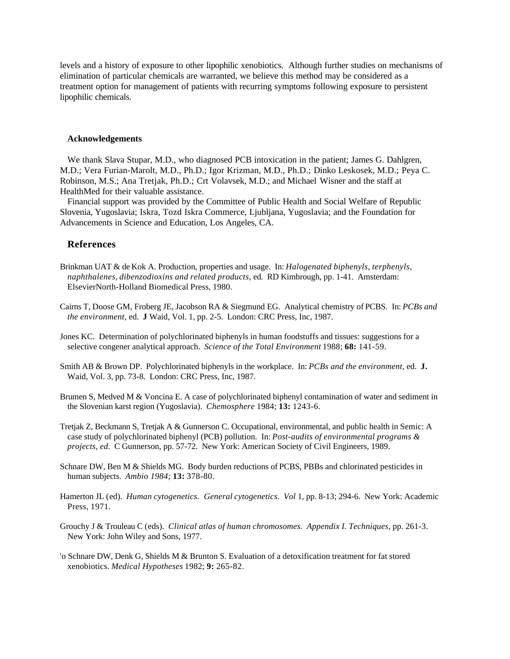levels and a history of exposure to other lipophilic xenobiotics. Although further studies on mechanisms of elimination of particular chemicals are warranted, we believe this method may be considered as a treatment option for management of patients with recurring symptoms following exposure to persistent lipophilic chemicals.

#### **Acknowledgements**

We thank Slava Stupar, M.D., who diagnosed PCB intoxication in the patient; James G. Dahlgren, M.D.; Vera Furian-Marolt, M.D., Ph.D.; Igor Krizman, M.D., Ph.D.; Dinko Leskosek, M.D.; Peya C. Robinson, M.S.; Ana Tretjak, Ph.D.; Crt Volavsek, M.D.; and Michael Wisner and the staff at HealthMed for their valuable assistance.

Financial support was provided by the Committee of Public Health and Social Welfare of Republic Slovenia, Yugoslavia; Iskra, Tozd Iskra Commerce, Ljubljana, Yugoslavia; and the Foundation for Advancements in Science and Education, Los Angeles, CA.

### **References**

- Brinkman UAT & de Kok A. Production, properties and usage. In: *Halogenated biphenyls, terphenyls, naphthalenes, dibenzodioxins and related products,* ed. RD Kimbrough, pp. 1-41. Amsterdam: ElsevierNorth-Holland Biomedical Press, 1980.
- Cairns T, Doose GM, Froberg JE, Jacobson RA & Siegmund EG. Analytical chemistry of PCBS. In: *PCBs and the environment,* ed. **J** Waid, Vol. 1, pp. 2-5. London: CRC Press, Inc, 1987.
- Jones KC. Determination of polychlorinated biphenyls in human foodstuffs and tissues: suggestions for a selective congener analytical approach. *Science of the Total Environment* 1988; **68:** 141-59.
- Smith AB & Brown DP. Polychlorinated biphenyls in the workplace. In: *PCBs and the environment,* ed. **J.** Waid, Vol. 3, pp. 73-8. London: CRC Press, Inc, 1987.
- Brumen S, Medved M & Voncina E. A case of polychlorinated biphenyl contamination of water and sediment in the Slovenian karst region (Yugoslavia). *Chemosphere* 1984; **13:** 1243-6.
- Tretjak Z, Beckmann S, Tretjak A & Gunnerson C. Occupational, environmental, and public health in Semic: A case study of polychlorinated biphenyl (PCB) pollution. In: *Post-audits of environmental programs & projects, ed.* C Gunnerson, pp. 57-72. New York: American Society of Civil Engineers, 1989.
- Schnare DW, Ben M & Shields MG. Body burden reductions of PCBS, PBBs and chlorinated pesticides in human subjects. *Ambio 1984;* **13:** 378-80.
- Hamerton JL (ed). *Human cytogenetics. General cytogenetics. Vol* 1, pp. 8-13; 294-6. New York: Academic Press, 1971.
- Grouchy J & Trouleau C (eds). *Clinical atlas of human chromosomes. Appendix I. Techniques,* pp. 261-3. New York: John Wiley and Sons, 1977.
- 'o Schnare DW, Denk G, Shields M & Brunton S. Evaluation of a detoxification treatment for fat stored xenobiotics. *Medical Hypotheses* 1982; **9:** 265-82.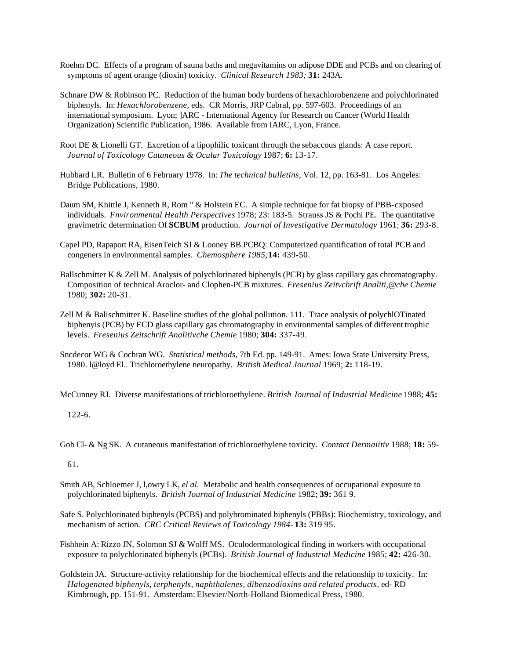- Roehm DC. Effects of a program of sauna baths and megavitamins on adipose DDE and PCBs and on clearing of symptoms of agent orange (dioxin) toxicity. *Clinical Research 1983;* **31:** 243A.
- Schnare DW & Robinson PC. Reduction of the human body burdens of hexachlorobenzene and polychlorinated biphenyls. In: *Hexachlorobenzene,* eds. CR Morris, JRP Cabral, pp. 597-603. Proceedings of an international symposium. Lyon; ]ARC - International Agency for Research on Cancer (World Health Organization) Scientific Publication, 1986. Available from IARC, Lyon, France.
- Root DE & Lionelli GT. Excretion of a lipophilic toxicant through the sebaccous glands: A case report. *Journal of Toxicology Cutaneous & Ocular Toxicology* 1987; **6:** 13-17.
- Hubbard LR. Bulletin of 6 February 1978. In: *The technical bulletins,* Vol. 12, pp. 163-81. Los Angeles: Bridge Publications, 1980.
- Daum SM, Knittle J, Kenneth R, Rom " & Holstein EC. A simple technique for fat biopsy of PBB-cxposed individuals. *Fnvironmental Health Perspectives* 1978; 23: 183-5. Strauss JS & Pochi PE. The quantitative gravimetric determination Of **SCBUM** production. *Journal of Investigative Dermatology* 1961; **36:** 293-8.
- Capel PD, Rapaport RA, EisenTeich SJ & Looney BB.PCBQ: Computerized quantification of total PCB and congeners in environmental samples. *Chemosphere 1985;***14:** 439-50.
- Ballschmitter K & Zell M. Analysis of polychlorinated biphenyls (PCB) by glass capillary gas chromatography. Composition of technical Aroclor- and Clophen-PCB mixtures. *Fresenius Zeitvchrift Analiti,@che Chemie* 1980; **302:** 20-31.
- Zell M & Balischmitter K. Baseline studies of the global pollution. 111. Trace analysis of polychlOTinated biphenyis (PCB) by ECD glass capillary gas chromatography in environmental samples of different trophic levels. *Fresenius Zeitschrift Analitivche Chemie* 1980; **304:** 337-49.
- Sncdecor WG & Cochran WG. *Statistical methods,* 7th Ed. pp. 149-91. Ames: Iowa State University Press, 1980. l@loyd El.. Trichloroethylene neuropathy. *British Medical Journal* 1969; **2:** 118-19.
- McCunney RJ. Diverse manifestations of trichloroethylene. *British Journal of Industrial Medicine* 1988; **45:**

122-6.

Gob Cl- & Ng SK. A cutaneous manifestation of trichloroethylene toxicity. *Contact Dermaiitiv* 1988; **18:** 59-

61.

- Smith AB, Schloemer J, l,owry LK, *el al.* Metabolic and health consequences of occupational exposure to polychlorinated biphenyls. *British Journal of Industrial Medicine* 1982; **39:** 361 9.
- Safe S. Polychlorinated biphenyls (PCBS) and polybrominated biphenyls (PBBs): Biochemistry, toxicology, and mechanism of action. *CRC Critical Reviews of Toxicology 1984-* **13:** 319 95.
- Fishbein A: Rizzo JN, Solomon SJ & Wolff MS. Oculodermatological finding in workers with occupational exposure to polychlorinatcd biphenyls (PCBs). *British Journal of Industrial Medicine* 1985; **42:** 426-30.
- Goldstein JA. Structure-activity relationship for the biochemical effects and the relationship to toxicity. In: *Halogenated biphenyls, terphenyls, naphthalenes, dibenzodioxins and related products,* ed- RD Kimbrough, pp. 151-91. Amsterdam: Elsevier/North-Holland Biomedical Press, 1980.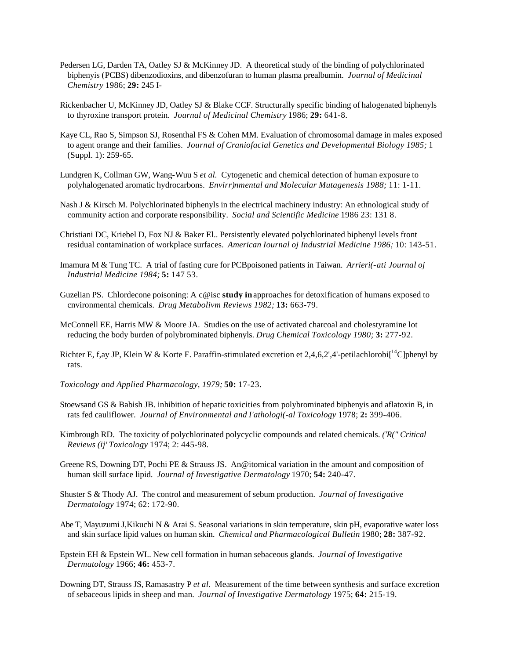- Pedersen LG, Darden TA, Oatley SJ & McKinney JD. A theoretical study of the binding of polychlorinated biphenyis (PCBS) dibenzodioxins, and dibenzofuran to human plasma prealbumin. *Journal of Medicinal Chemistry* 1986; **29:** 245 I-
- Rickenbacher U, McKinney JD, Oatley SJ & Blake CCF. Structurally specific binding of halogenated biphenyls to thyroxine transport protein. *Journal of Medicinal Chemistry* 1986; **29:** 641-8.
- Kaye CL, Rao S, Simpson SJ, Rosenthal FS & Cohen MM. Evaluation of chromosomal damage in males exposed to agent orange and their families. *Journal of Craniofacial Genetics and Developmental Biology 1985;* 1 (Suppl. 1): 259-65.
- Lundgren K, Collman GW, Wang-Wuu S *et al.* Cytogenetic and chemical detection of human exposure to polyhalogenated aromatic hydrocarbons. *Envirr)nmental and Molecular Mutagenesis 1988;* 11: 1-11.
- Nash J & Kirsch M. Polychlorinated biphenyls in the electrical machinery industry: An ethnological study of community action and corporate responsibility. *Social and Scientific Medicine* 1986 23: 131 8.
- Christiani DC, Kriebel D, Fox NJ & Baker El.. Persistently elevated polychlorinated biphenyl levels front residual contamination of workplace surfaces. *American Iournal oj Industrial Medicine 1986;* 10: 143-51.
- Imamura M & Tung TC. A trial of fasting cure for PCBpoisoned patients in Taiwan. *Arrieri(-ati Journal oj Industrial Medicine 1984;* **5:** 147 53.
- Guzelian PS. Chlordecone poisoning: A c@isc **study in** approaches for detoxification of humans exposed to cnvironmental chemicals. *Drug Metabolivm Reviews 1982;* **13:** 663-79.
- McConnell EE, Harris MW & Moore JA. Studies on the use of activated charcoal and cholestyramine lot reducing the body burden of polybrominated biphenyls. *Drug Chemical Toxicology 1980;* **3:** 277-92.
- Richter E, f,ay JP, Klein W & Korte F. Paraffin-stimulated excretion et 2,4,6,2',4'-petilachlorobi[<sup>14</sup>C]phenyl by rats.
- *Toxicology and Applied Pharmacology, 1979;* **50:** 17-23.
- Stoewsand GS & Babish JB. inhibition of hepatic toxicities from polybrominated biphenyis and aflatoxin B, in rats fed cauliflower. *Journal of Environmental and I'athologi(-al Toxicology* 1978; **2:** 399-406.
- Kimbrough RD. The toxicity of polychlorinated polycyclic compounds and related chemicals. *('R(" Critical Reviews (ij' Toxicology* 1974; 2: 445-98.
- Greene RS, Downing DT, Pochi PE & Strauss JS. An@itomical variation in the amount and composition of human skill surface lipid. *Journal of Investigative Dermatology* 1970; **54:** 240-47.
- Shuster S & Thody AJ. The control and measurement of sebum production. *Journal of Investigative Dermatology* 1974; 62: 172-90.
- Abe T, Mayuzumi J,Kikuchi N & Arai S. Seasonal variations in skin temperature, skin pH, evaporative water loss and skin surface lipid values on human skin. *Chemical and Pharmacological Bulletin* 1980; **28:** 387-92.
- Epstein EH & Epstein WI.. New cell formation in human sebaceous glands. *Journal of Investigative Dermatology* 1966; **46:** 453-7.
- Downing DT, Strauss JS, Ramasastry P *et al.* Measurement of the time between synthesis and surface excretion of sebaceous lipids in sheep and man. *Journal of Investigative Dermatology* 1975; **64:** 215-19.